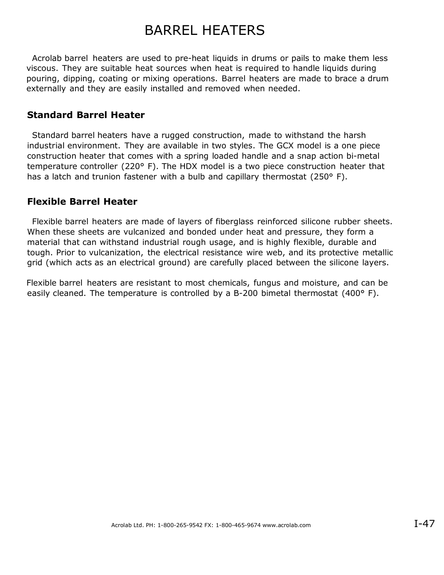## BARREL HEATERS

 Acrolab barrel heaters are used to pre-heat liquids in drums or pails to make them less viscous. They are suitable heat sources when heat is required to handle liquids during pouring, dipping, coating or mixing operations. Barrel heaters are made to brace a drum externally and they are easily installed and removed when needed.

### **Standard Barrel Heater**

 Standard barrel heaters have a rugged construction, made to withstand the harsh industrial environment. They are available in two styles. The GCX model is a one piece construction heater that comes with a spring loaded handle and a snap action bi-metal temperature controller (220° F). The HDX model is a two piece construction heater that has a latch and trunion fastener with a bulb and capillary thermostat (250° F).

## **Flexible Barrel Heater**

 Flexible barrel heaters are made of layers of fiberglass reinforced silicone rubber sheets. When these sheets are vulcanized and bonded under heat and pressure, they form a material that can withstand industrial rough usage, and is highly flexible, durable and tough. Prior to vulcanization, the electrical resistance wire web, and its protective metallic grid (which acts as an electrical ground) are carefully placed between the silicone layers.

Flexible barrel heaters are resistant to most chemicals, fungus and moisture, and can be easily cleaned. The temperature is controlled by a B-200 bimetal thermostat (400° F).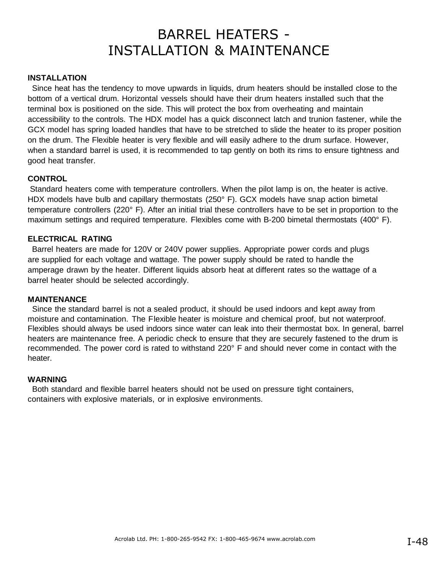# BARREL HEATERS - INSTALLATION & MAINTENANCE

#### **INSTALLATION**

 Since heat has the tendency to move upwards in liquids, drum heaters should be installed close to the bottom of a vertical drum. Horizontal vessels should have their drum heaters installed such that the terminal box is positioned on the side. This will protect the box from overheating and maintain accessibility to the controls. The HDX model has a quick disconnect latch and trunion fastener, while the GCX model has spring loaded handles that have to be stretched to slide the heater to its proper position on the drum. The Flexible heater is very flexible and will easily adhere to the drum surface. However, when a standard barrel is used, it is recommended to tap gently on both its rims to ensure tightness and good heat transfer.

#### **CONTROL**

Standard heaters come with temperature controllers. When the pilot lamp is on, the heater is active. HDX models have bulb and capillary thermostats (250° F). GCX models have snap action bimetal temperature controllers (220° F). After an initial trial these controllers have to be set in proportion to the maximum settings and required temperature. Flexibles come with B-200 bimetal thermostats  $(400^{\circ} \text{ F})$ .

#### **ELECTRICAL RATING**

 Barrel heaters are made for 120V or 240V power supplies. Appropriate power cords and plugs are supplied for each voltage and wattage. The power supply should be rated to handle the amperage drawn by the heater. Different liquids absorb heat at different rates so the wattage of a barrel heater should be selected accordingly.

#### **MAINTENANCE**

 Since the standard barrel is not a sealed product, it should be used indoors and kept away from moisture and contamination. The Flexible heater is moisture and chemical proof, but not waterproof. Flexibles should always be used indoors since water can leak into their thermostat box. In general, barrel heaters are maintenance free. A periodic check to ensure that they are securely fastened to the drum is recommended. The power cord is rated to withstand 220° F and should never come in contact with the heater.

#### **WARNING**

 Both standard and flexible barrel heaters should not be used on pressure tight containers, containers with explosive materials, or in explosive environments.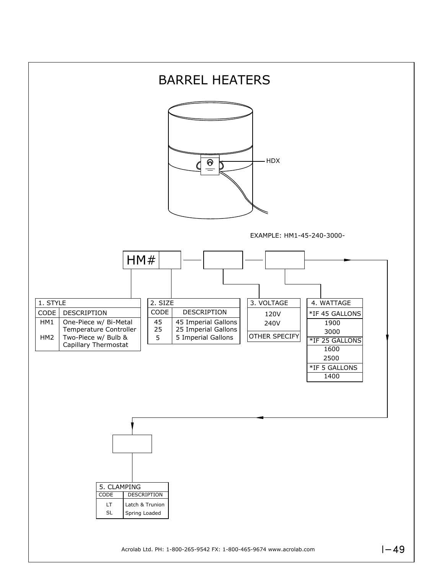

Acrolab Ltd. PH: 1-800-265-9542 FX: 1-800-465-9674 www.acrolab.com